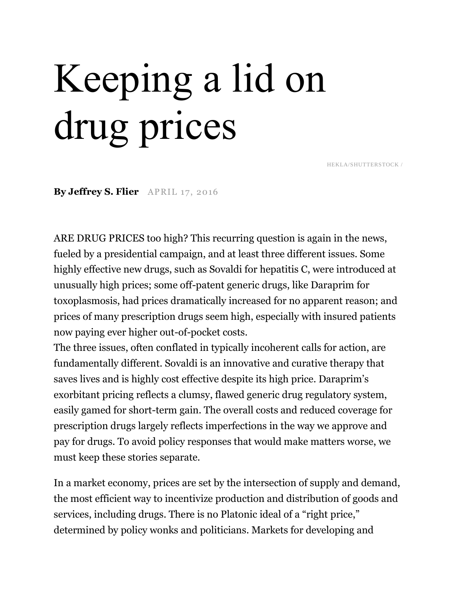## Keeping a lid on drug prices

HEKLA/SHUTTERSTOCK /

**By Jeffrey S. Flier** APRIL 17, 2016

ARE DRUG PRICES too high? This recurring question is again in the news, fueled by a presidential campaign, and at least three different issues. Some highly effective new drugs, such as Sovaldi for hepatitis C, were introduced at unusually high prices; some off-patent generic drugs, like Daraprim for toxoplasmosis, had prices dramatically increased for no apparent reason; and prices of many prescription drugs seem high, especially with insured patients now paying ever higher out-of-pocket costs.

The three issues, often conflated in typically incoherent calls for action, are fundamentally different. Sovaldi is an innovative and curative therapy that saves lives and is highly cost effective despite its high price. Daraprim's exorbitant pricing reflects a clumsy, flawed generic drug regulatory system, easily gamed for short-term gain. The overall costs and reduced coverage for prescription drugs largely reflects imperfections in the way we approve and pay for drugs. To avoid policy responses that would make matters worse, we must keep these stories separate.

In a market economy, prices are set by the intersection of supply and demand, the most efficient way to incentivize production and distribution of goods and services, including drugs. There is no Platonic ideal of a "right price," determined by policy wonks and politicians. Markets for developing and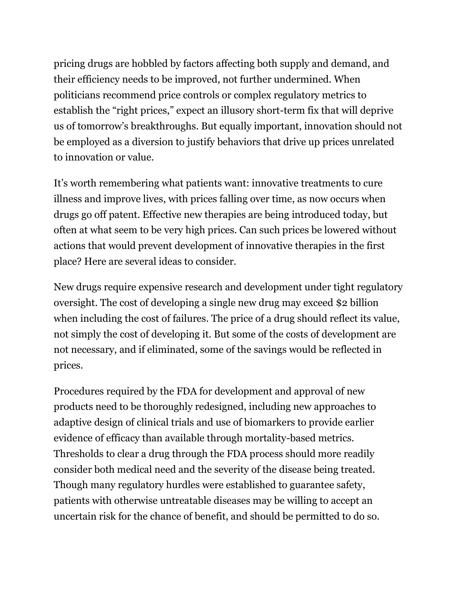pricing drugs are hobbled by factors affecting both supply and demand, and their efficiency needs to be improved, not further undermined. When politicians recommend price controls or complex regulatory metrics to establish the "right prices," expect an illusory short-term fix that will deprive us of tomorrow's breakthroughs. But equally important, innovation should not be employed as a diversion to justify behaviors that drive up prices unrelated to innovation or value.

It's worth remembering what patients want: innovative treatments to cure illness and improve lives, with prices falling over time, as now occurs when drugs go off patent. Effective new therapies are being introduced today, but often at what seem to be very high prices. Can such prices be lowered without actions that would prevent development of innovative therapies in the first place? Here are several ideas to consider.

New drugs require expensive research and development under tight regulatory oversight. The cost of developing a single new drug may exceed \$2 billion when including the cost of failures. The price of a drug should reflect its value, not simply the cost of developing it. But some of the costs of development are not necessary, and if eliminated, some of the savings would be reflected in prices.

Procedures required by the FDA for development and approval of new products need to be thoroughly redesigned, including new approaches to adaptive design of clinical trials and use of biomarkers to provide earlier evidence of efficacy than available through mortality-based metrics. Thresholds to clear a drug through the FDA process should more readily consider both medical need and the severity of the disease being treated. Though many regulatory hurdles were established to guarantee safety, patients with otherwise untreatable diseases may be willing to accept an uncertain risk for the chance of benefit, and should be permitted to do so.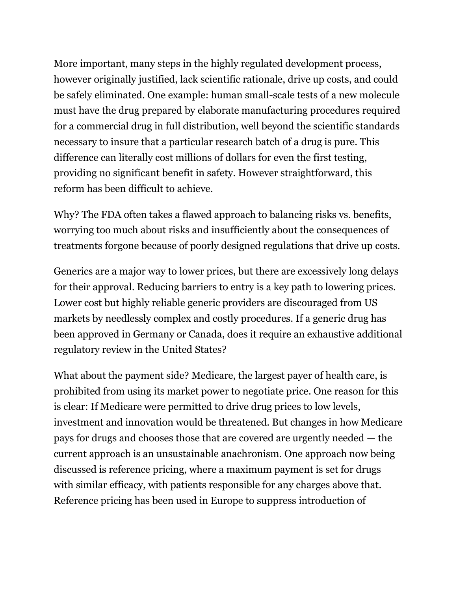More important, many steps in the highly regulated development process, however originally justified, lack scientific rationale, drive up costs, and could be safely eliminated. One example: human small-scale tests of a new molecule must have the drug prepared by elaborate manufacturing procedures required for a commercial drug in full distribution, well beyond the scientific standards necessary to insure that a particular research batch of a drug is pure. This difference can literally cost millions of dollars for even the first testing, providing no significant benefit in safety. However straightforward, this reform has been difficult to achieve.

Why? The FDA often takes a flawed approach to balancing risks vs. benefits, worrying too much about risks and insufficiently about the consequences of treatments forgone because of poorly designed regulations that drive up costs.

Generics are a major way to lower prices, but there are excessively long delays for their approval. Reducing barriers to entry is a key path to lowering prices. Lower cost but highly reliable generic providers are discouraged from US markets by needlessly complex and costly procedures. If a generic drug has been approved in Germany or Canada, does it require an exhaustive additional regulatory review in the United States?

What about the payment side? Medicare, the largest payer of health care, is prohibited from using its market power to negotiate price. One reason for this is clear: If Medicare were permitted to drive drug prices to low levels, investment and innovation would be threatened. But changes in how Medicare pays for drugs and chooses those that are covered are urgently needed — the current approach is an unsustainable anachronism. One approach now being discussed is reference pricing, where a maximum payment is set for drugs with similar efficacy, with patients responsible for any charges above that. Reference pricing has been used in Europe to suppress introduction of